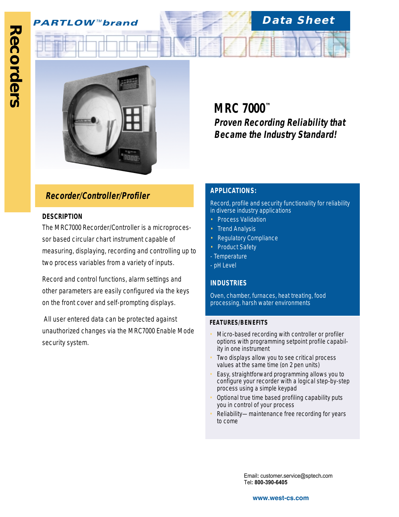

# **Recorder/Controller/Profiler APPLICATIONS:**

### **DESCRIPTION**

The MRC7000 Recorder/Controller is a microprocessor based circular chart instrument capable of measuring, displaying, recording and controlling up to two process variables from a variety of inputs.

Record and control functions, alarm settings and other parameters are easily configured via the keys on the front cover and self-prompting displays.

 All user entered data can be protected against unauthorized changes via the MRC7000 Enable Mode security system.

**MRC 7000™ Proven Recording Reliability that Became the Industry Standard!**

**Data Sheet**

Record, profile and security functionality for reliability in diverse industry applications

- Process Validation
- **Trend Analysis**
- Regulatory Compliance
- Product Safety
- Temperature
- pH Level

#### **INDUSTRIES**

Oven, chamber, furnaces, heat treating, food processing, harsh water environments

#### **FEATURES/BENEFITS**

- Micro-based recording with controller or profiler options with programming setpoint profile capability in one instrument
- Two displays allow you to see critical process values at the same time (on 2 pen units)
- Easy, straightforward programming allows you to configure your recorder with a logical step-by-step process using a simple keypad
- Optional true time based profiling capability puts you in control of your process
- Reliability—maintenance free recording for years to come

Email**:** customer**.**service@sptech**.**com Tel**: 800-390-6405**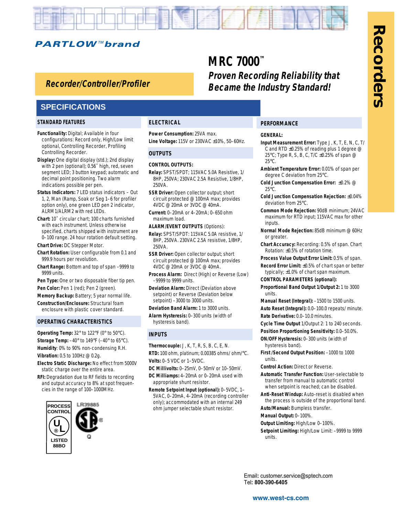

### **Hollowshaft, Incremental Encoders Recorder/Controller/Profiler**

### **SPECIFICATIONS**

#### **STANDARD FEATURES**

- **Functionality:** Digital; Available in four configurations: Record only, High/Low limit optional, Controlling Recorder, Profiling Controlling Recorder.
- **Display:** One digital display (std.); 2nd display with 2 pen (optional); 0.56˝ high, red, seven segment LED; 3 button keypad; automatic and decimal point positioning. Two alarm indications possible per pen.
- **Status Indicators:** 7 LED status indicators Out 1, 2, Man (Ramp, Soak or Seg 1–6 for profiler option only), one green LED pen 2 indicator, ALRM1/ALRM2 with red LEDs.
- **Chart:** 10˝ circular chart; 100 charts furnished with each instrument. Unless otherwise specified, charts shipped with instrument are 0–100 range. 24 hour rotation default setting.

**Chart Drive:** DC Stepper Motor.

- **Chart Rotation:** User configurable from 0.1 and 999.9 hours per revolution.
- **Chart Range:** Bottom and top of span –9999 to 9999 units.
- **Pen Type:** One or two disposable fiber tip pen. Pen Color: Pen 1 (red); Pen 2 (green).
- **Memory Backup:** Battery; 5 year normal life.
- **Construction/Enclosure:** Structural foam enclosure with plastic cover standard.

#### **OPERATING CHARACTERISTICS**

**Operating Temp:** 32° to 122°F (0° to 50°C). **Storage Temp:** –40° to 149°F (–40° to 65°C). **Humidity**: 0% to 90% non-condensing R.H. **Vibration:** 0.5 to 100Hz @ 0.2g.

- **Electro Static Discharge:** No effect from 5000V static charge over the entire area.
- **RFI:** Degradation due to RF fields to recording and output accuracy to 8% at spot frequencies in the range of 100–1000MHz.



#### **ELECTRICAL**

**Power Consumption:** 25VA max. **Line Voltage:** 115V or 230VAC ±10%, 50–60Hz.

#### **OUTPUTS**

#### **CONTROL OUTPUTS:**

- **Relay:** SPST/SPDT; 115VAC 5.0A Resistive, 1/ 8HP, 250VA; 230VAC 2.5A Resistive, 1/8HP, 250VA.
- **SSR Driver:** Open collector output; short circuit protected @ 100mA max; provides 4VDC @ 20mA or 3VDC @ 40mA.
- **Current:** 0–20mA or 4–20mA; 0–650 ohm maximum load.

**ALARM/EVENT OUTPUTS** (Options):

- **Relay:** SPST/SPDT: 115VAC 5.0A resistive, 1/ 8HP, 250VA. 230VAC 2.5A resistive, 1/8HP, 250VA.
- **SSR Driver: Open collector output; short** circuit protected @ 100mA max; provides 4VDC @ 20mA or 3VDC @ 40mA.
- **Process Alarm:** Direct (High) or Reverse (Low) –9999 to 9999 units.

**Deviation Alarm:** Direct (Deviation above setpoint) or Reverse (Deviation below setpoint) –3000 to 3000 units.

- **Deviation Band Alarm:** 1 to 3000 units.
- **Alarm Hysteresis:** 0–300 units (width of hysteresis band).

#### **INPUTS**

- **Thermocouple:** J, K, T, R, S, B, C, E, N. **RTD:** 100 ohm, platinum; 0.00385 ohms/ ohm/°C. **Volts:** 0–5 VDC or 1–5VDC.
- 
- **DC Millivolts:** 0–25mV, 0–50mV or 10–50mV. **DC Milliamps:** 4–20mA or 0–20mA used with
- appropriate shunt resistor. **Remote Setpoint Input (optional):** 0–5VDC, 1– 5VAC, 0–20mA, 4–20mA (recording controller
- only); accommodated with an internal 249 ohm jumper selectable shunt resistor.

#### **PERFORMANCE**

#### **GENERAL:**

**Proven Recording Reliability that Became the Industry Standard!**

**MRC 7000™**

- **Input Measurement Error:** Type J, K, T, E, N, C, T/ C and RTD ±0.25% of reading plus 1 degree @ 25°C; Type R, S, B, C, T/C ±0.25% of span @ 25°C.
- **Ambient Temperature Error:** 0.01% of span per degree C deviation from 25°C.
- **Cold Junction Compensation Error:** ±0.2% @ 25°C.
- **Cold Junction Compensation Rejection:** ±0.04% deviation from 25°C.
- **Common Mode Rejection:** 90dB minimum; 24VAC maximum for RTD input; 115VAC max for other inputs.
- **Normal Mode Rejection:** 85dB minimum @ 60Hz or greater.
- **Chart Accuracy:** Recording: 0.5% of span. Chart Rotation: ±0.5% of rotation time.
- **Process Value Output Error Limit:** 0.5% of span.
- **Record Error Limit:** ±0.5% of chart span or better typically; ±1.0% of chart span maximum.
- **CONTROL PARAMETERS (optional):**
- **Proportional Band Output 1/Output 2:** 1 to 3000 units.
- **Manual Reset (Integral):** –1500 to 1500 units.
- **Auto Reset (Integral):** 0.0–100.0 repeats/ minute. **Rate Derivative:** 0.0–10.0 minutes.
- **Cycle Time Output** 1/Output 2: 1 to 240 seconds.
- **Position Proportioning Sensitivity:** 0.0–50.0%.
- **ON/OFF Hysteresis:** 0–300 units (width of hysteresis band).
- **First /Second Output Position:** –1000 to 1000 units.
- **Control Action:** Direct or Reverse.
- **Automatic Transfer Function:** User-selectable to transfer from manual to automatic control when setpoint is reached; can be disabled.
- **Anti-Reset Windup:** Auto-reset is disabled when the process is outside of the proportional band. **Auto/Manual:** Bumpless transfer.
- **Manual Output:** 0–100%.
- **Output Limiting:** High/Low 0–100%.
- **Setpoint Limiting:** High/Low Limit: –9999 to 9999 units.

Email**:** customer**.**service@sptech**.**com Tel**: 800-390-6405**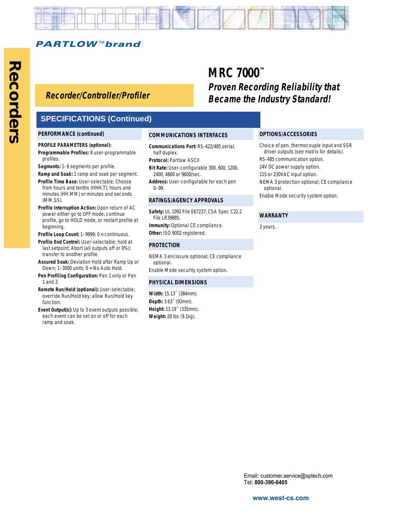

## **Hollowshaft, Incremental Encoders Recorder/Controller/Profiler**

### **SPECIFICATIONS (Continued)**

#### **PERFORMANCE (continued)**

#### **PROFILE PARAMETERS (optional):**

- **Programmable Profiles:** 8 user-programmable profiles.
- **Segments:** 1–6 segments per profile.

#### **Ramp and Soak:** 1 ramp and soak per segment.

- **Profile Time Base:** User-selectable; Choose from hours and tenths (HHH.T); hours and minutes (HH.MM) or minutes and seconds (MM.SS).
- **Profile Interruption Action:** Upon return of AC power either go to OFF mode, continue profile, go to HOLD mode, or restart profile at beginning.
- **Profile Loop Count:** 1–9999; 0 = continuous.
- **Profile End Control:** User-selectable; hold at last setpoint; Abort (all outputs off or 0%); transfer to another profile.
- **Assured Soak:** Deviation Hold after Ramp Up or Down; 1–3000 units; 0 = No Auto Hold.
- **Pen Profiling Configuration:** Pen 1 only or Pen 1 and 2.
- **Remote Run/Hold (optional):** User-selectable; override Run/Hold key; allow Run/Hold key function.
- **Event Output(s):** Up to 3 event outputs possible; each event can be set on or off for each ramp and soak.

#### **COMMUNICATIONS INTERFACES**

**Communications Port:** RS-422/485 serial, half duplex.

#### **Protocol: Partlow ASCII**

- **Bit Rate:** User-configurable 300, 600, 1200, 2400, 4800 or 9600/sec.
- **Address:** User-configurable for each pen 0–99.

#### **RATINGS/AGENCY APPROVALS**

**Safety:** UL 1092 File E67237; CSA Spec C22.2 File LR39885. **Immunity: Optional CE compliance.** 

**Other:** ISO 9002 registered.

#### **PROTECTION**

NEMA 3 enclosure optional; CE compliance optional. Enable Mode security system option.

#### **PHYSICAL DIMENSIONS**

**Width:** 15.13˝ (384mm). **Depth:** 3.63˝ (92mm). **Height:** 13.19˝ (335mm). **Weight:** 20 lbs (9.1kg).

# **MRC 7000™ Proven Recording Reliability that Became the Industry Standard!**

#### **OPTIONS/ACCESSORIES**

- Choice of pen, thermocouple input and SSR driver outputs (see matrix for details). RS-485 communication option.
- 24V DC power supply option.
- 115 or 230VAC input option.
- NEMA 3 protection optional; CE compliance optional.
- Enable Mode security system option.

#### **WARRANTY**

3 years.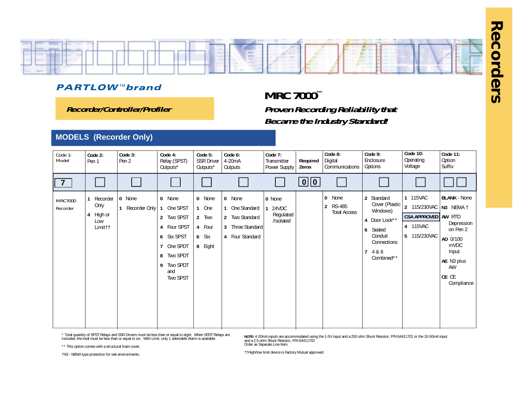

**Recorder/Controller/Profiler**

# **MRC 7000™ Proven Recording Reliability that Became the Industry Standard!**

### **MODELS (Recorder Only)**

| Code 1:<br>Model           | Code 2:<br>Pen 1                                              | Code 3:<br>Pen 2        | Code 4:<br>Relay (SPST)<br>Outputs*                                                                                                                                | Code 5:<br><b>SSR Driver</b><br>Outputs*               | Code 6:<br>4-20mA<br>Outputs                                                       | Code 7:<br>Transmitter<br>Power Supply    | Required<br>Zeros       | Code 8:<br>Digital<br>Communications                                          | Code 9:<br>Enclosure<br>Options                                                                                           | <b>Code 10:</b><br>Operating<br>Voltage                                               | <b>Code 11:</b><br>Option<br>Suffix                                                                                                |
|----------------------------|---------------------------------------------------------------|-------------------------|--------------------------------------------------------------------------------------------------------------------------------------------------------------------|--------------------------------------------------------|------------------------------------------------------------------------------------|-------------------------------------------|-------------------------|-------------------------------------------------------------------------------|---------------------------------------------------------------------------------------------------------------------------|---------------------------------------------------------------------------------------|------------------------------------------------------------------------------------------------------------------------------------|
| $\overline{7}$             |                                                               |                         |                                                                                                                                                                    |                                                        |                                                                                    |                                           | $\boxed{0}$ $\boxed{0}$ |                                                                               |                                                                                                                           |                                                                                       |                                                                                                                                    |
| <b>MRC7000</b><br>Recorder | Recorder<br>Only<br>High or<br>4<br>Low<br>Limit <sub>1</sub> | 0 None<br>Recorder Only | $\mathbf{0}$<br>None<br>One SPST<br>Two SPST<br>$\overline{2}$<br>Four SPST<br>4<br>Six SPST<br>6<br>One SPDT<br>Two SPDT<br>8<br>Two SPDT<br>9<br>and<br>Two SPST | 0 None<br>1 One<br>2 Two<br>4 Four<br>6 Six<br>8 Eight | 0 None<br>One Standard<br>2 Two Standard<br>Three Standard<br>3<br>4 Four Standard | 0 None<br>24VDC<br>Regulated<br>/Isolated |                         | $\mathbf 0$<br>None<br><b>RS-485</b><br>$\overline{2}$<br><b>Total Access</b> | 2 Standard<br>Cover (Plastic<br>Windows)<br>4 Door Lock**<br>6<br>Sealed<br>Conduit<br>Connections<br>4 & 6<br>Combined** | 1 115VAC<br>2 115/230VAC<br><b>CSA APPROVED AW RTD</b><br>4 115VAC<br>5<br>115/230VAC | <b>BLANK - None</b><br>N3 NEMA †<br>Depression<br>on Pen 2<br>AD 0/100<br>mVDC<br>Input<br>AE N3 plus<br>AW<br>CE CE<br>Compliance |

\* Total quantity of SPST Relays and SSR Drivers must be less than or equal to eight. When SPDT Relays are included, the total must be less than or equal to six. With Limit, only 1 selectable Alarm is available.

\*\* This option comes with a structural foam cover.

**NOTE:** 4-20mA inputs are accommodated using the 1-5V input and a 250 ohm Shunt Resistor, P/N 64411701 or the 10-50mA input<br>and a 2.5 ohm Shunt Resistor, P/N 64411702<br>Order as Separate Line Item.

†N3 - NEMA type protection for wet environments.

††High/low limit device is Factory Mutual approved.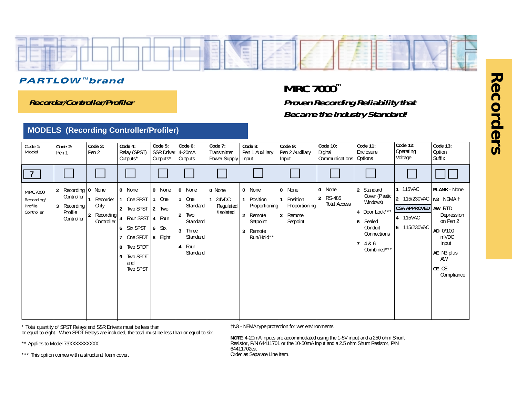

**Recorder/Controller/Profiler**

# **MRC 7000™ Proven Recording Reliability that Became the Industry Standard!**

### **MODELS (Recording Controller/Profiler)**

| Code 1:<br>Model                                      | Code 2:<br>Pen 1                                                                 | Code 3:<br>Pen 2                                              | Code 4:<br>Relay (SPST)<br>Outputs*                                                                                                   | Code 5:<br>SSR Driver<br>Outputs*                                     | Code 6:<br>4-20mA<br>Outputs                                                                                      | Code 7:<br>Transmitter<br>Power Supply    | Code 8:<br>Pen 1 Auxiliary<br>Input                                                                      | $\vert$ Code 9:<br>Pen 2 Auxiliary<br>Input                        | <b>Code 10:</b><br>Digital<br><b>Communications</b> | <b>Code 11:</b><br>Enclosure<br>Options                                                                                          | Code 12:<br>Operating<br>Voltage                                              | Code 13:<br>Option<br>Suffix                                                                                                       |
|-------------------------------------------------------|----------------------------------------------------------------------------------|---------------------------------------------------------------|---------------------------------------------------------------------------------------------------------------------------------------|-----------------------------------------------------------------------|-------------------------------------------------------------------------------------------------------------------|-------------------------------------------|----------------------------------------------------------------------------------------------------------|--------------------------------------------------------------------|-----------------------------------------------------|----------------------------------------------------------------------------------------------------------------------------------|-------------------------------------------------------------------------------|------------------------------------------------------------------------------------------------------------------------------------|
| $\overline{7}$                                        |                                                                                  |                                                               |                                                                                                                                       |                                                                       |                                                                                                                   |                                           |                                                                                                          |                                                                    |                                                     |                                                                                                                                  |                                                                               |                                                                                                                                    |
| <b>MRC7000</b><br>Recording/<br>Profile<br>Controller | Recording   0 None<br>2<br>Controller<br>3<br>Recording<br>Profile<br>Controller | Recorder<br>Only<br>$\overline{2}$<br>Recording<br>Controller | 0 None<br>1 One SPST<br>2 Two SPST<br>Four SPST 4<br>6 Six SPST<br>One SPDT $ 8$<br>Two SPDT<br>8<br>Two SPDT<br>9<br>and<br>Two SPST | 0 None<br>1 One<br>$\overline{2}$<br>Two<br>Four<br>Six<br>6<br>Eight | 0 None<br>One<br>Standard<br>$\overline{2}$<br>Two<br>Standard<br>3<br>Three<br>Standard<br>Four<br>4<br>Standard | 0 None<br>24VDC<br>Regulated<br>/Isolated | 0 None<br>Position<br>Proportioning<br>$\overline{2}$<br>Remote<br>Setpoint<br>3<br>Remote<br>Run/Hold** | None<br>0<br>Position<br>Proportioning<br>Remote<br>12<br>Setpoint | None<br>0<br>RS-485<br> 2<br><b>Total Access</b>    | 2 Standard<br>Cover (Plastic<br>Windows)<br>4 Door Lock***<br>6<br>Sealed<br>Conduit<br>Connections<br>7<br>4 & 6<br>Combined*** | 1 115VAC<br>2 115/230VAC<br>CSA APPROVED   AW RTD<br>4 115VAC<br>5 115/230VAC | <b>BLANK - None</b><br>N3 NEMA 1<br>Depression<br>on Pen 2<br>AD 0/100<br>mVDC<br>Input<br>AE N3 plus<br>AW<br>CE CE<br>Compliance |

\* Total quantity of SPST Relays and SSR Drivers must be less than or equal to eight. When SPDT Relays are included, the total must be less than or equal to six.

\*\* Applies to Model 73XXXXXXXXXX.

†N3 - NEMA type protection for wet environments.

**NOTE:** 4-20mA inputs are accommodated using the 1-5V input and a 250 ohm Shunt Resistor, P/N 64411701 or the 10-50mA input and a 2.5 ohm Shunt Resistor, P/N 64411702ea. Order as Separate Line Item.

\*\*\* This option comes with a structural foam cover.